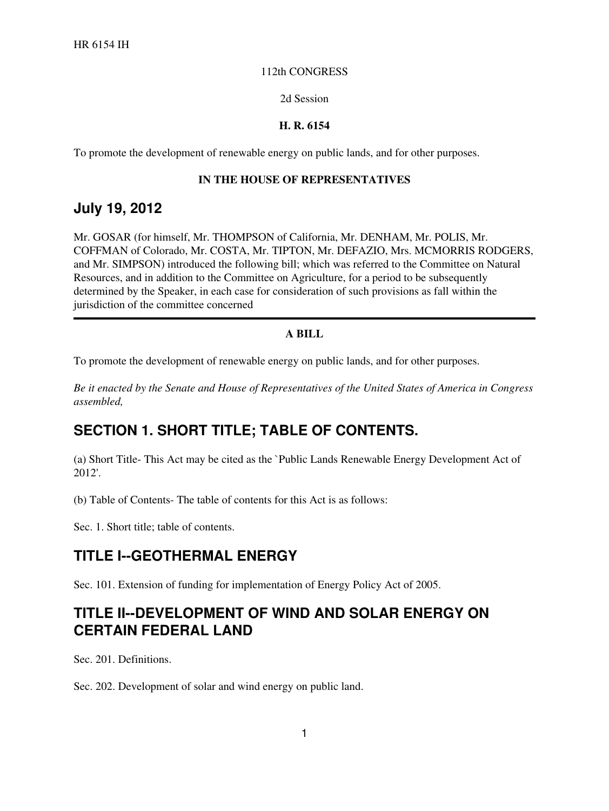#### 112th CONGRESS

#### 2d Session

### **H. R. 6154**

To promote the development of renewable energy on public lands, and for other purposes.

### **IN THE HOUSE OF REPRESENTATIVES**

## **July 19, 2012**

Mr. GOSAR (for himself, Mr. THOMPSON of California, Mr. DENHAM, Mr. POLIS, Mr. COFFMAN of Colorado, Mr. COSTA, Mr. TIPTON, Mr. DEFAZIO, Mrs. MCMORRIS RODGERS, and Mr. SIMPSON) introduced the following bill; which was referred to the Committee on Natural Resources, and in addition to the Committee on Agriculture, for a period to be subsequently determined by the Speaker, in each case for consideration of such provisions as fall within the jurisdiction of the committee concerned

### **A BILL**

To promote the development of renewable energy on public lands, and for other purposes.

*Be it enacted by the Senate and House of Representatives of the United States of America in Congress assembled,*

## **SECTION 1. SHORT TITLE; TABLE OF CONTENTS.**

(a) Short Title- This Act may be cited as the `Public Lands Renewable Energy Development Act of 2012'.

(b) Table of Contents- The table of contents for this Act is as follows:

Sec. 1. Short title; table of contents.

## **TITLE I--GEOTHERMAL ENERGY**

Sec. 101. Extension of funding for implementation of Energy Policy Act of 2005.

## **TITLE II--DEVELOPMENT OF WIND AND SOLAR ENERGY ON CERTAIN FEDERAL LAND**

Sec. 201. Definitions.

Sec. 202. Development of solar and wind energy on public land.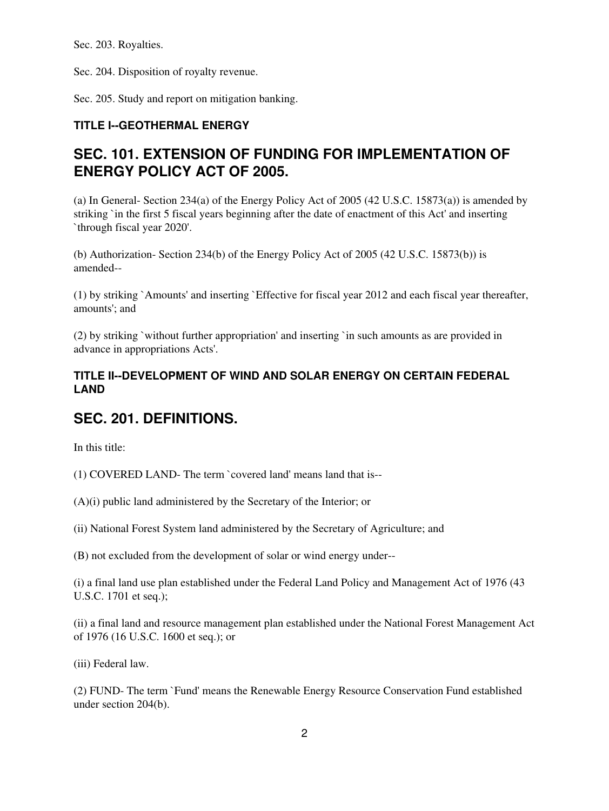Sec. 203. Royalties.

Sec. 204. Disposition of royalty revenue.

Sec. 205. Study and report on mitigation banking.

## **TITLE I--GEOTHERMAL ENERGY**

# **SEC. 101. EXTENSION OF FUNDING FOR IMPLEMENTATION OF ENERGY POLICY ACT OF 2005.**

(a) In General- Section 234(a) of the Energy Policy Act of 2005 (42 U.S.C. 15873(a)) is amended by striking `in the first 5 fiscal years beginning after the date of enactment of this Act' and inserting `through fiscal year 2020'.

(b) Authorization- Section 234(b) of the Energy Policy Act of 2005 (42 U.S.C. 15873(b)) is amended--

(1) by striking `Amounts' and inserting `Effective for fiscal year 2012 and each fiscal year thereafter, amounts'; and

(2) by striking `without further appropriation' and inserting `in such amounts as are provided in advance in appropriations Acts'.

## **TITLE II--DEVELOPMENT OF WIND AND SOLAR ENERGY ON CERTAIN FEDERAL LAND**

# **SEC. 201. DEFINITIONS.**

In this title:

(1) COVERED LAND- The term `covered land' means land that is--

(A)(i) public land administered by the Secretary of the Interior; or

(ii) National Forest System land administered by the Secretary of Agriculture; and

(B) not excluded from the development of solar or wind energy under--

(i) a final land use plan established under the Federal Land Policy and Management Act of 1976 (43 U.S.C. 1701 et seq.);

(ii) a final land and resource management plan established under the National Forest Management Act of 1976 (16 U.S.C. 1600 et seq.); or

(iii) Federal law.

(2) FUND- The term `Fund' means the Renewable Energy Resource Conservation Fund established under section 204(b).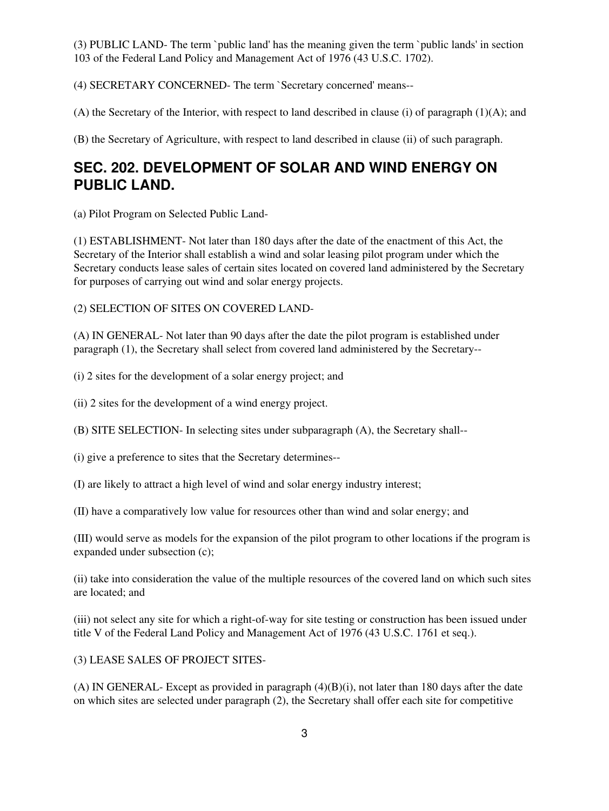(3) PUBLIC LAND- The term `public land' has the meaning given the term `public lands' in section 103 of the Federal Land Policy and Management Act of 1976 (43 U.S.C. 1702).

(4) SECRETARY CONCERNED- The term `Secretary concerned' means--

(A) the Secretary of the Interior, with respect to land described in clause (i) of paragraph (1)(A); and

(B) the Secretary of Agriculture, with respect to land described in clause (ii) of such paragraph.

# **SEC. 202. DEVELOPMENT OF SOLAR AND WIND ENERGY ON PUBLIC LAND.**

(a) Pilot Program on Selected Public Land-

(1) ESTABLISHMENT- Not later than 180 days after the date of the enactment of this Act, the Secretary of the Interior shall establish a wind and solar leasing pilot program under which the Secretary conducts lease sales of certain sites located on covered land administered by the Secretary for purposes of carrying out wind and solar energy projects.

(2) SELECTION OF SITES ON COVERED LAND-

(A) IN GENERAL- Not later than 90 days after the date the pilot program is established under paragraph (1), the Secretary shall select from covered land administered by the Secretary--

(i) 2 sites for the development of a solar energy project; and

(ii) 2 sites for the development of a wind energy project.

(B) SITE SELECTION- In selecting sites under subparagraph (A), the Secretary shall--

(i) give a preference to sites that the Secretary determines--

(I) are likely to attract a high level of wind and solar energy industry interest;

(II) have a comparatively low value for resources other than wind and solar energy; and

(III) would serve as models for the expansion of the pilot program to other locations if the program is expanded under subsection (c);

(ii) take into consideration the value of the multiple resources of the covered land on which such sites are located; and

(iii) not select any site for which a right-of-way for site testing or construction has been issued under title V of the Federal Land Policy and Management Act of 1976 (43 U.S.C. 1761 et seq.).

(3) LEASE SALES OF PROJECT SITES-

(A) IN GENERAL- Except as provided in paragraph (4)(B)(i), not later than 180 days after the date on which sites are selected under paragraph (2), the Secretary shall offer each site for competitive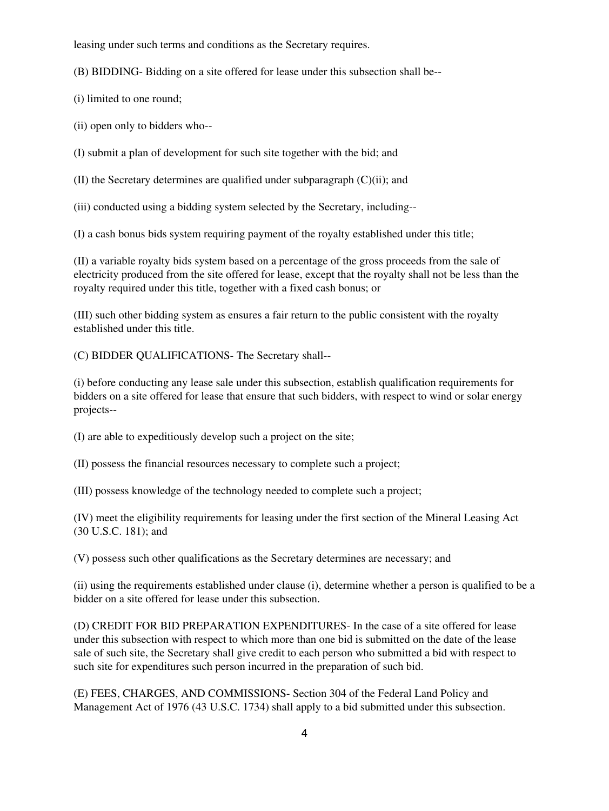leasing under such terms and conditions as the Secretary requires.

(B) BIDDING- Bidding on a site offered for lease under this subsection shall be--

(i) limited to one round;

(ii) open only to bidders who--

(I) submit a plan of development for such site together with the bid; and

(II) the Secretary determines are qualified under subparagraph (C)(ii); and

(iii) conducted using a bidding system selected by the Secretary, including--

(I) a cash bonus bids system requiring payment of the royalty established under this title;

(II) a variable royalty bids system based on a percentage of the gross proceeds from the sale of electricity produced from the site offered for lease, except that the royalty shall not be less than the royalty required under this title, together with a fixed cash bonus; or

(III) such other bidding system as ensures a fair return to the public consistent with the royalty established under this title.

(C) BIDDER QUALIFICATIONS- The Secretary shall--

(i) before conducting any lease sale under this subsection, establish qualification requirements for bidders on a site offered for lease that ensure that such bidders, with respect to wind or solar energy projects--

(I) are able to expeditiously develop such a project on the site;

(II) possess the financial resources necessary to complete such a project;

(III) possess knowledge of the technology needed to complete such a project;

(IV) meet the eligibility requirements for leasing under the first section of the Mineral Leasing Act (30 U.S.C. 181); and

(V) possess such other qualifications as the Secretary determines are necessary; and

(ii) using the requirements established under clause (i), determine whether a person is qualified to be a bidder on a site offered for lease under this subsection.

(D) CREDIT FOR BID PREPARATION EXPENDITURES- In the case of a site offered for lease under this subsection with respect to which more than one bid is submitted on the date of the lease sale of such site, the Secretary shall give credit to each person who submitted a bid with respect to such site for expenditures such person incurred in the preparation of such bid.

(E) FEES, CHARGES, AND COMMISSIONS- Section 304 of the Federal Land Policy and Management Act of 1976 (43 U.S.C. 1734) shall apply to a bid submitted under this subsection.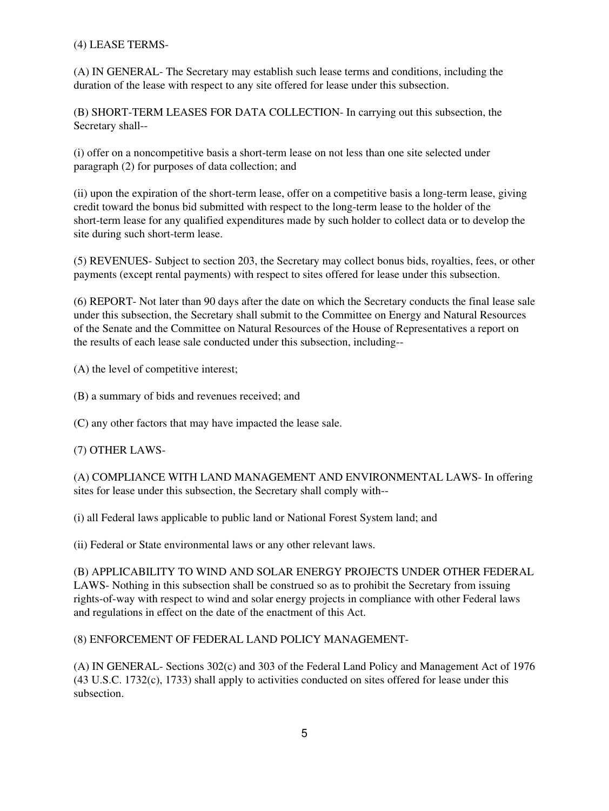## (4) LEASE TERMS-

(A) IN GENERAL- The Secretary may establish such lease terms and conditions, including the duration of the lease with respect to any site offered for lease under this subsection.

(B) SHORT-TERM LEASES FOR DATA COLLECTION- In carrying out this subsection, the Secretary shall--

(i) offer on a noncompetitive basis a short-term lease on not less than one site selected under paragraph (2) for purposes of data collection; and

(ii) upon the expiration of the short-term lease, offer on a competitive basis a long-term lease, giving credit toward the bonus bid submitted with respect to the long-term lease to the holder of the short-term lease for any qualified expenditures made by such holder to collect data or to develop the site during such short-term lease.

(5) REVENUES- Subject to section 203, the Secretary may collect bonus bids, royalties, fees, or other payments (except rental payments) with respect to sites offered for lease under this subsection.

(6) REPORT- Not later than 90 days after the date on which the Secretary conducts the final lease sale under this subsection, the Secretary shall submit to the Committee on Energy and Natural Resources of the Senate and the Committee on Natural Resources of the House of Representatives a report on the results of each lease sale conducted under this subsection, including--

(A) the level of competitive interest;

(B) a summary of bids and revenues received; and

(C) any other factors that may have impacted the lease sale.

### (7) OTHER LAWS-

(A) COMPLIANCE WITH LAND MANAGEMENT AND ENVIRONMENTAL LAWS- In offering sites for lease under this subsection, the Secretary shall comply with--

(i) all Federal laws applicable to public land or National Forest System land; and

(ii) Federal or State environmental laws or any other relevant laws.

(B) APPLICABILITY TO WIND AND SOLAR ENERGY PROJECTS UNDER OTHER FEDERAL LAWS- Nothing in this subsection shall be construed so as to prohibit the Secretary from issuing rights-of-way with respect to wind and solar energy projects in compliance with other Federal laws and regulations in effect on the date of the enactment of this Act.

### (8) ENFORCEMENT OF FEDERAL LAND POLICY MANAGEMENT-

(A) IN GENERAL- Sections 302(c) and 303 of the Federal Land Policy and Management Act of 1976 (43 U.S.C. 1732(c), 1733) shall apply to activities conducted on sites offered for lease under this subsection.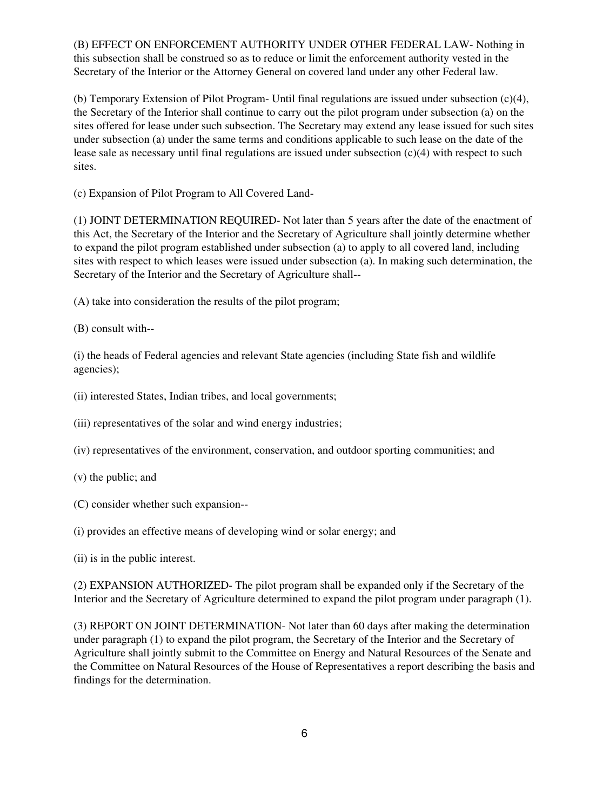(B) EFFECT ON ENFORCEMENT AUTHORITY UNDER OTHER FEDERAL LAW- Nothing in this subsection shall be construed so as to reduce or limit the enforcement authority vested in the Secretary of the Interior or the Attorney General on covered land under any other Federal law.

(b) Temporary Extension of Pilot Program- Until final regulations are issued under subsection (c)(4), the Secretary of the Interior shall continue to carry out the pilot program under subsection (a) on the sites offered for lease under such subsection. The Secretary may extend any lease issued for such sites under subsection (a) under the same terms and conditions applicable to such lease on the date of the lease sale as necessary until final regulations are issued under subsection (c)(4) with respect to such sites.

(c) Expansion of Pilot Program to All Covered Land-

(1) JOINT DETERMINATION REQUIRED- Not later than 5 years after the date of the enactment of this Act, the Secretary of the Interior and the Secretary of Agriculture shall jointly determine whether to expand the pilot program established under subsection (a) to apply to all covered land, including sites with respect to which leases were issued under subsection (a). In making such determination, the Secretary of the Interior and the Secretary of Agriculture shall--

(A) take into consideration the results of the pilot program;

(B) consult with--

(i) the heads of Federal agencies and relevant State agencies (including State fish and wildlife agencies);

- (ii) interested States, Indian tribes, and local governments;
- (iii) representatives of the solar and wind energy industries;
- (iv) representatives of the environment, conservation, and outdoor sporting communities; and
- (v) the public; and
- (C) consider whether such expansion--
- (i) provides an effective means of developing wind or solar energy; and
- (ii) is in the public interest.

(2) EXPANSION AUTHORIZED- The pilot program shall be expanded only if the Secretary of the Interior and the Secretary of Agriculture determined to expand the pilot program under paragraph (1).

(3) REPORT ON JOINT DETERMINATION- Not later than 60 days after making the determination under paragraph (1) to expand the pilot program, the Secretary of the Interior and the Secretary of Agriculture shall jointly submit to the Committee on Energy and Natural Resources of the Senate and the Committee on Natural Resources of the House of Representatives a report describing the basis and findings for the determination.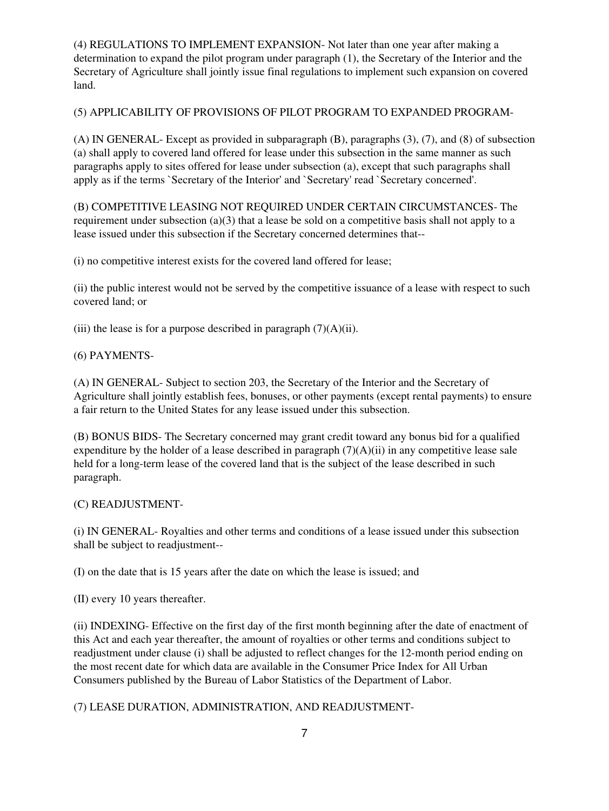(4) REGULATIONS TO IMPLEMENT EXPANSION- Not later than one year after making a determination to expand the pilot program under paragraph (1), the Secretary of the Interior and the Secretary of Agriculture shall jointly issue final regulations to implement such expansion on covered land.

(5) APPLICABILITY OF PROVISIONS OF PILOT PROGRAM TO EXPANDED PROGRAM-

(A) IN GENERAL- Except as provided in subparagraph (B), paragraphs (3), (7), and (8) of subsection (a) shall apply to covered land offered for lease under this subsection in the same manner as such paragraphs apply to sites offered for lease under subsection (a), except that such paragraphs shall apply as if the terms `Secretary of the Interior' and `Secretary' read `Secretary concerned'.

(B) COMPETITIVE LEASING NOT REQUIRED UNDER CERTAIN CIRCUMSTANCES- The requirement under subsection (a)(3) that a lease be sold on a competitive basis shall not apply to a lease issued under this subsection if the Secretary concerned determines that--

(i) no competitive interest exists for the covered land offered for lease;

(ii) the public interest would not be served by the competitive issuance of a lease with respect to such covered land; or

(iii) the lease is for a purpose described in paragraph  $(7)(A)(ii)$ .

(6) PAYMENTS-

(A) IN GENERAL- Subject to section 203, the Secretary of the Interior and the Secretary of Agriculture shall jointly establish fees, bonuses, or other payments (except rental payments) to ensure a fair return to the United States for any lease issued under this subsection.

(B) BONUS BIDS- The Secretary concerned may grant credit toward any bonus bid for a qualified expenditure by the holder of a lease described in paragraph  $(7)(A)(ii)$  in any competitive lease sale held for a long-term lease of the covered land that is the subject of the lease described in such paragraph.

(C) READJUSTMENT-

(i) IN GENERAL- Royalties and other terms and conditions of a lease issued under this subsection shall be subject to readjustment--

(I) on the date that is 15 years after the date on which the lease is issued; and

(II) every 10 years thereafter.

(ii) INDEXING- Effective on the first day of the first month beginning after the date of enactment of this Act and each year thereafter, the amount of royalties or other terms and conditions subject to readjustment under clause (i) shall be adjusted to reflect changes for the 12-month period ending on the most recent date for which data are available in the Consumer Price Index for All Urban Consumers published by the Bureau of Labor Statistics of the Department of Labor.

(7) LEASE DURATION, ADMINISTRATION, AND READJUSTMENT-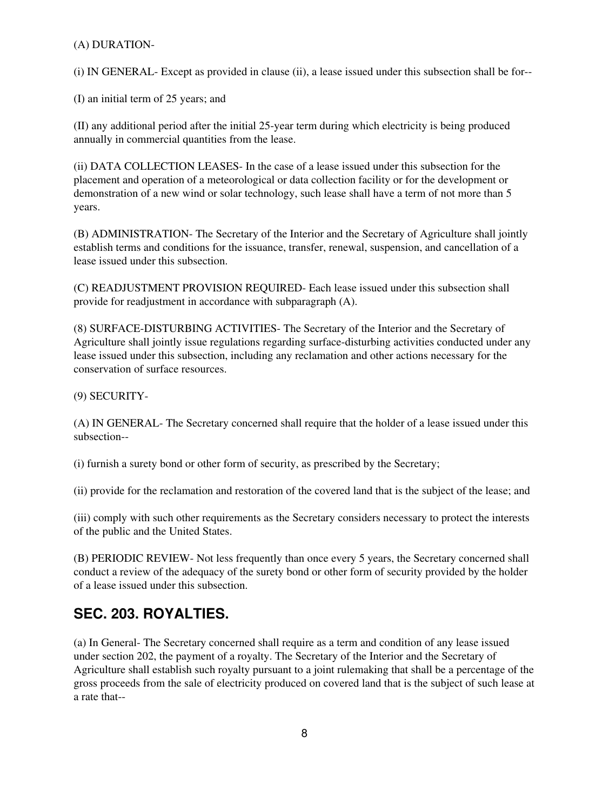### (A) DURATION-

(i) IN GENERAL- Except as provided in clause (ii), a lease issued under this subsection shall be for--

(I) an initial term of 25 years; and

(II) any additional period after the initial 25-year term during which electricity is being produced annually in commercial quantities from the lease.

(ii) DATA COLLECTION LEASES- In the case of a lease issued under this subsection for the placement and operation of a meteorological or data collection facility or for the development or demonstration of a new wind or solar technology, such lease shall have a term of not more than 5 years.

(B) ADMINISTRATION- The Secretary of the Interior and the Secretary of Agriculture shall jointly establish terms and conditions for the issuance, transfer, renewal, suspension, and cancellation of a lease issued under this subsection.

(C) READJUSTMENT PROVISION REQUIRED- Each lease issued under this subsection shall provide for readjustment in accordance with subparagraph (A).

(8) SURFACE-DISTURBING ACTIVITIES- The Secretary of the Interior and the Secretary of Agriculture shall jointly issue regulations regarding surface-disturbing activities conducted under any lease issued under this subsection, including any reclamation and other actions necessary for the conservation of surface resources.

(9) SECURITY-

(A) IN GENERAL- The Secretary concerned shall require that the holder of a lease issued under this subsection--

(i) furnish a surety bond or other form of security, as prescribed by the Secretary;

(ii) provide for the reclamation and restoration of the covered land that is the subject of the lease; and

(iii) comply with such other requirements as the Secretary considers necessary to protect the interests of the public and the United States.

(B) PERIODIC REVIEW- Not less frequently than once every 5 years, the Secretary concerned shall conduct a review of the adequacy of the surety bond or other form of security provided by the holder of a lease issued under this subsection.

## **SEC. 203. ROYALTIES.**

(a) In General- The Secretary concerned shall require as a term and condition of any lease issued under section 202, the payment of a royalty. The Secretary of the Interior and the Secretary of Agriculture shall establish such royalty pursuant to a joint rulemaking that shall be a percentage of the gross proceeds from the sale of electricity produced on covered land that is the subject of such lease at a rate that--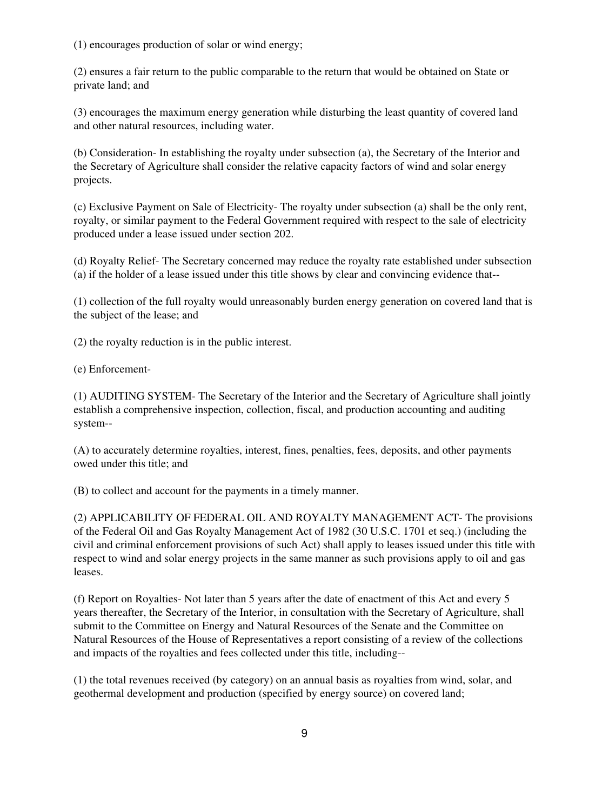(1) encourages production of solar or wind energy;

(2) ensures a fair return to the public comparable to the return that would be obtained on State or private land; and

(3) encourages the maximum energy generation while disturbing the least quantity of covered land and other natural resources, including water.

(b) Consideration- In establishing the royalty under subsection (a), the Secretary of the Interior and the Secretary of Agriculture shall consider the relative capacity factors of wind and solar energy projects.

(c) Exclusive Payment on Sale of Electricity- The royalty under subsection (a) shall be the only rent, royalty, or similar payment to the Federal Government required with respect to the sale of electricity produced under a lease issued under section 202.

(d) Royalty Relief- The Secretary concerned may reduce the royalty rate established under subsection (a) if the holder of a lease issued under this title shows by clear and convincing evidence that--

(1) collection of the full royalty would unreasonably burden energy generation on covered land that is the subject of the lease; and

(2) the royalty reduction is in the public interest.

(e) Enforcement-

(1) AUDITING SYSTEM- The Secretary of the Interior and the Secretary of Agriculture shall jointly establish a comprehensive inspection, collection, fiscal, and production accounting and auditing system--

(A) to accurately determine royalties, interest, fines, penalties, fees, deposits, and other payments owed under this title; and

(B) to collect and account for the payments in a timely manner.

(2) APPLICABILITY OF FEDERAL OIL AND ROYALTY MANAGEMENT ACT- The provisions of the Federal Oil and Gas Royalty Management Act of 1982 (30 U.S.C. 1701 et seq.) (including the civil and criminal enforcement provisions of such Act) shall apply to leases issued under this title with respect to wind and solar energy projects in the same manner as such provisions apply to oil and gas leases.

(f) Report on Royalties- Not later than 5 years after the date of enactment of this Act and every 5 years thereafter, the Secretary of the Interior, in consultation with the Secretary of Agriculture, shall submit to the Committee on Energy and Natural Resources of the Senate and the Committee on Natural Resources of the House of Representatives a report consisting of a review of the collections and impacts of the royalties and fees collected under this title, including--

(1) the total revenues received (by category) on an annual basis as royalties from wind, solar, and geothermal development and production (specified by energy source) on covered land;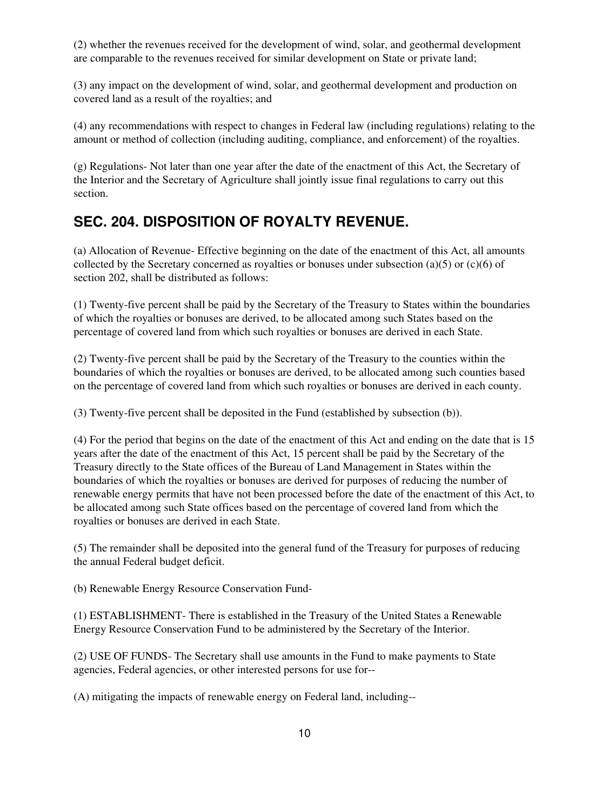(2) whether the revenues received for the development of wind, solar, and geothermal development are comparable to the revenues received for similar development on State or private land;

(3) any impact on the development of wind, solar, and geothermal development and production on covered land as a result of the royalties; and

(4) any recommendations with respect to changes in Federal law (including regulations) relating to the amount or method of collection (including auditing, compliance, and enforcement) of the royalties.

(g) Regulations- Not later than one year after the date of the enactment of this Act, the Secretary of the Interior and the Secretary of Agriculture shall jointly issue final regulations to carry out this section.

# **SEC. 204. DISPOSITION OF ROYALTY REVENUE.**

(a) Allocation of Revenue- Effective beginning on the date of the enactment of this Act, all amounts collected by the Secretary concerned as royalties or bonuses under subsection (a)(5) or (c)(6) of section 202, shall be distributed as follows:

(1) Twenty-five percent shall be paid by the Secretary of the Treasury to States within the boundaries of which the royalties or bonuses are derived, to be allocated among such States based on the percentage of covered land from which such royalties or bonuses are derived in each State.

(2) Twenty-five percent shall be paid by the Secretary of the Treasury to the counties within the boundaries of which the royalties or bonuses are derived, to be allocated among such counties based on the percentage of covered land from which such royalties or bonuses are derived in each county.

(3) Twenty-five percent shall be deposited in the Fund (established by subsection (b)).

(4) For the period that begins on the date of the enactment of this Act and ending on the date that is 15 years after the date of the enactment of this Act, 15 percent shall be paid by the Secretary of the Treasury directly to the State offices of the Bureau of Land Management in States within the boundaries of which the royalties or bonuses are derived for purposes of reducing the number of renewable energy permits that have not been processed before the date of the enactment of this Act, to be allocated among such State offices based on the percentage of covered land from which the royalties or bonuses are derived in each State.

(5) The remainder shall be deposited into the general fund of the Treasury for purposes of reducing the annual Federal budget deficit.

(b) Renewable Energy Resource Conservation Fund-

(1) ESTABLISHMENT- There is established in the Treasury of the United States a Renewable Energy Resource Conservation Fund to be administered by the Secretary of the Interior.

(2) USE OF FUNDS- The Secretary shall use amounts in the Fund to make payments to State agencies, Federal agencies, or other interested persons for use for--

(A) mitigating the impacts of renewable energy on Federal land, including--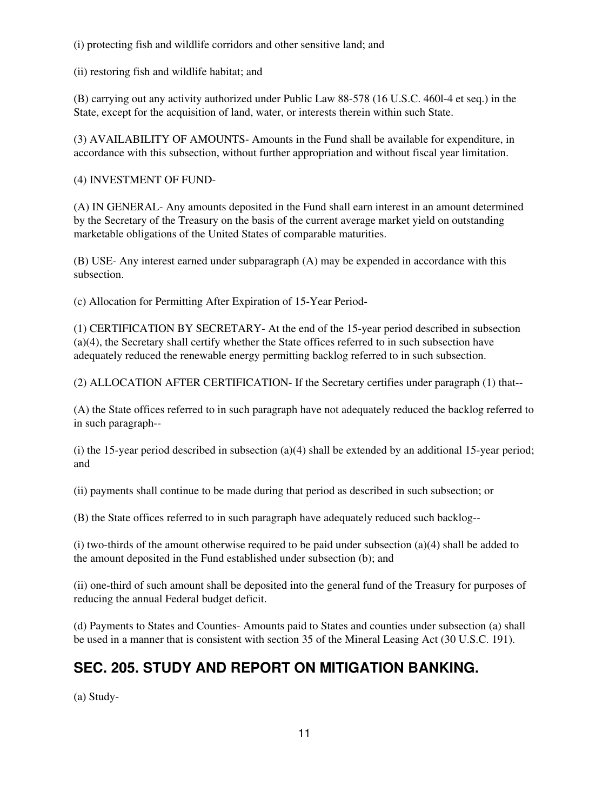(i) protecting fish and wildlife corridors and other sensitive land; and

(ii) restoring fish and wildlife habitat; and

(B) carrying out any activity authorized under Public Law 88-578 (16 U.S.C. 460l-4 et seq.) in the State, except for the acquisition of land, water, or interests therein within such State.

(3) AVAILABILITY OF AMOUNTS- Amounts in the Fund shall be available for expenditure, in accordance with this subsection, without further appropriation and without fiscal year limitation.

(4) INVESTMENT OF FUND-

(A) IN GENERAL- Any amounts deposited in the Fund shall earn interest in an amount determined by the Secretary of the Treasury on the basis of the current average market yield on outstanding marketable obligations of the United States of comparable maturities.

(B) USE- Any interest earned under subparagraph (A) may be expended in accordance with this subsection.

(c) Allocation for Permitting After Expiration of 15-Year Period-

(1) CERTIFICATION BY SECRETARY- At the end of the 15-year period described in subsection (a)(4), the Secretary shall certify whether the State offices referred to in such subsection have adequately reduced the renewable energy permitting backlog referred to in such subsection.

(2) ALLOCATION AFTER CERTIFICATION- If the Secretary certifies under paragraph (1) that--

(A) the State offices referred to in such paragraph have not adequately reduced the backlog referred to in such paragraph--

(i) the 15-year period described in subsection  $(a)(4)$  shall be extended by an additional 15-year period; and

(ii) payments shall continue to be made during that period as described in such subsection; or

(B) the State offices referred to in such paragraph have adequately reduced such backlog--

(i) two-thirds of the amount otherwise required to be paid under subsection (a)(4) shall be added to the amount deposited in the Fund established under subsection (b); and

(ii) one-third of such amount shall be deposited into the general fund of the Treasury for purposes of reducing the annual Federal budget deficit.

(d) Payments to States and Counties- Amounts paid to States and counties under subsection (a) shall be used in a manner that is consistent with section 35 of the Mineral Leasing Act (30 U.S.C. 191).

# **SEC. 205. STUDY AND REPORT ON MITIGATION BANKING.**

(a) Study-